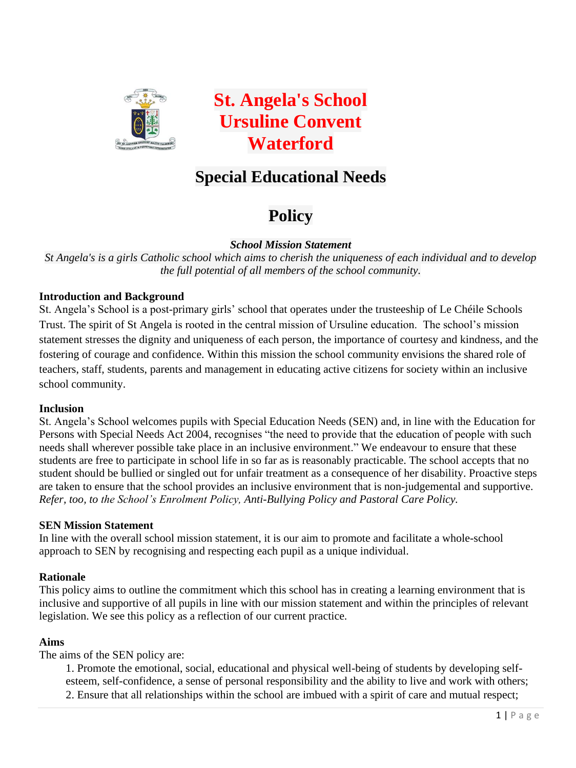

**St. Angela's School Ursuline Convent Waterford**

# **Special Educational Needs**

# **Policy**

*School Mission Statement*

*St Angela's is a girls Catholic school which aims to cherish the uniqueness of each individual and to develop the full potential of all members of the school community.*

## **Introduction and Background**

St. Angela's School is a post-primary girls' school that operates under the trusteeship of Le Chéile Schools Trust. The spirit of St Angela is rooted in the central mission of Ursuline education. The school's mission statement stresses the dignity and uniqueness of each person, the importance of courtesy and kindness, and the fostering of courage and confidence. Within this mission the school community envisions the shared role of teachers, staff, students, parents and management in educating active citizens for society within an inclusive school community.

#### **Inclusion**

St. Angela's School welcomes pupils with Special Education Needs (SEN) and, in line with the Education for Persons with Special Needs Act 2004, recognises "the need to provide that the education of people with such needs shall wherever possible take place in an inclusive environment." We endeavour to ensure that these students are free to participate in school life in so far as is reasonably practicable. The school accepts that no student should be bullied or singled out for unfair treatment as a consequence of her disability. Proactive steps are taken to ensure that the school provides an inclusive environment that is non-judgemental and supportive. *Refer, too, to the School's Enrolment Policy, Anti-Bullying Policy and Pastoral Care Policy.*

#### **SEN Mission Statement**

In line with the overall school mission statement, it is our aim to promote and facilitate a whole-school approach to SEN by recognising and respecting each pupil as a unique individual.

#### **Rationale**

This policy aims to outline the commitment which this school has in creating a learning environment that is inclusive and supportive of all pupils in line with our mission statement and within the principles of relevant legislation. We see this policy as a reflection of our current practice.

#### **Aims**

The aims of the SEN policy are:

1. Promote the emotional, social, educational and physical well-being of students by developing selfesteem, self-confidence, a sense of personal responsibility and the ability to live and work with others; 2. Ensure that all relationships within the school are imbued with a spirit of care and mutual respect;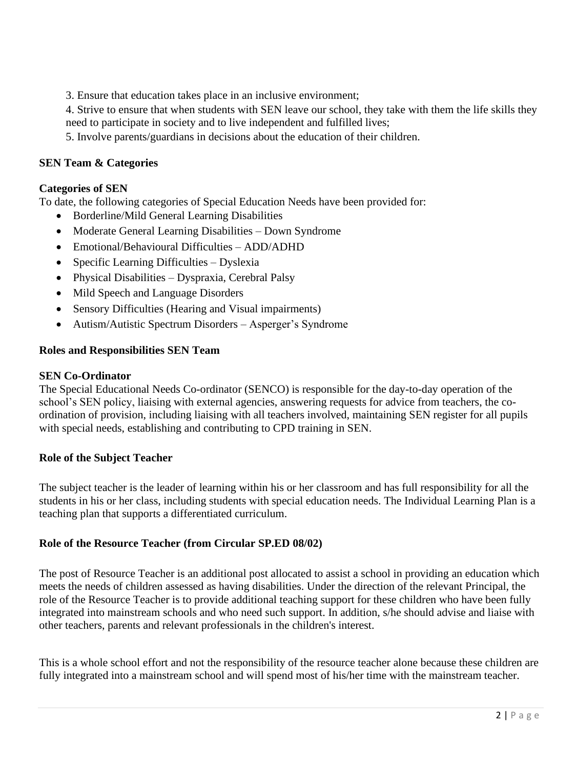3. Ensure that education takes place in an inclusive environment;

4. Strive to ensure that when students with SEN leave our school, they take with them the life skills they need to participate in society and to live independent and fulfilled lives;

5. Involve parents/guardians in decisions about the education of their children.

## **SEN Team & Categories**

#### **Categories of SEN**

To date, the following categories of Special Education Needs have been provided for:

- Borderline/Mild General Learning Disabilities
- Moderate General Learning Disabilities Down Syndrome
- Emotional/Behavioural Difficulties ADD/ADHD
- Specific Learning Difficulties Dyslexia
- Physical Disabilities Dyspraxia, Cerebral Palsy
- Mild Speech and Language Disorders
- Sensory Difficulties (Hearing and Visual impairments)
- Autism/Autistic Spectrum Disorders Asperger's Syndrome

#### **Roles and Responsibilities SEN Team**

#### **SEN Co-Ordinator**

The Special Educational Needs Co-ordinator (SENCO) is responsible for the day-to-day operation of the school's SEN policy, liaising with external agencies, answering requests for advice from teachers, the coordination of provision, including liaising with all teachers involved, maintaining SEN register for all pupils with special needs, establishing and contributing to CPD training in SEN.

#### **Role of the Subject Teacher**

The subject teacher is the leader of learning within his or her classroom and has full responsibility for all the students in his or her class, including students with special education needs. The Individual Learning Plan is a teaching plan that supports a differentiated curriculum.

#### **Role of the Resource Teacher (from Circular SP.ED 08/02)**

The post of Resource Teacher is an additional post allocated to assist a school in providing an education which meets the needs of children assessed as having disabilities. Under the direction of the relevant Principal, the role of the Resource Teacher is to provide additional teaching support for these children who have been fully integrated into mainstream schools and who need such support. In addition, s/he should advise and liaise with other teachers, parents and relevant professionals in the children's interest.

This is a whole school effort and not the responsibility of the resource teacher alone because these children are fully integrated into a mainstream school and will spend most of his/her time with the mainstream teacher.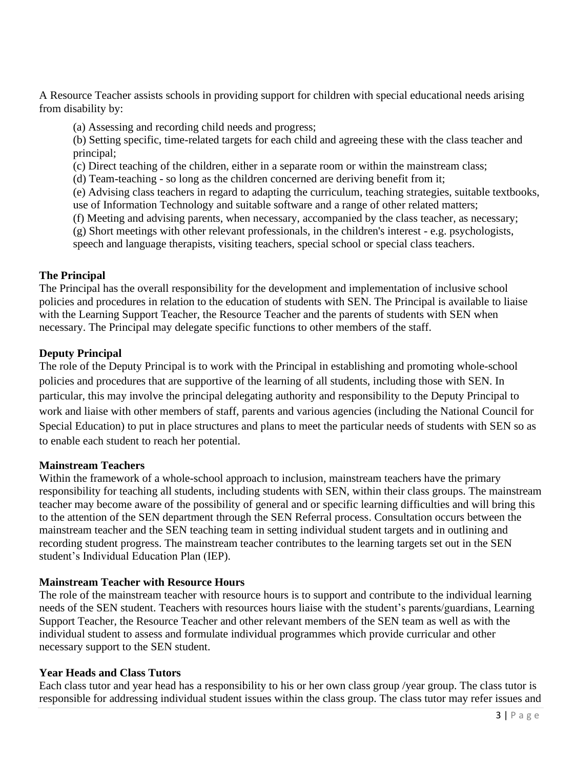A Resource Teacher assists schools in providing support for children with special educational needs arising from disability by:

(a) Assessing and recording child needs and progress;

(b) Setting specific, time-related targets for each child and agreeing these with the class teacher and principal;

(c) Direct teaching of the children, either in a separate room or within the mainstream class;

(d) Team-teaching - so long as the children concerned are deriving benefit from it;

(e) Advising class teachers in regard to adapting the curriculum, teaching strategies, suitable textbooks, use of Information Technology and suitable software and a range of other related matters;

(f) Meeting and advising parents, when necessary, accompanied by the class teacher, as necessary;

(g) Short meetings with other relevant professionals, in the children's interest - e.g. psychologists,

speech and language therapists, visiting teachers, special school or special class teachers.

## **The Principal**

The Principal has the overall responsibility for the development and implementation of inclusive school policies and procedures in relation to the education of students with SEN. The Principal is available to liaise with the Learning Support Teacher, the Resource Teacher and the parents of students with SEN when necessary. The Principal may delegate specific functions to other members of the staff.

## **Deputy Principal**

The role of the Deputy Principal is to work with the Principal in establishing and promoting whole-school policies and procedures that are supportive of the learning of all students, including those with SEN. In particular, this may involve the principal delegating authority and responsibility to the Deputy Principal to work and liaise with other members of staff, parents and various agencies (including the National Council for Special Education) to put in place structures and plans to meet the particular needs of students with SEN so as to enable each student to reach her potential.

#### **Mainstream Teachers**

Within the framework of a whole-school approach to inclusion, mainstream teachers have the primary responsibility for teaching all students, including students with SEN, within their class groups. The mainstream teacher may become aware of the possibility of general and or specific learning difficulties and will bring this to the attention of the SEN department through the SEN Referral process. Consultation occurs between the mainstream teacher and the SEN teaching team in setting individual student targets and in outlining and recording student progress. The mainstream teacher contributes to the learning targets set out in the SEN student's Individual Education Plan (IEP).

#### **Mainstream Teacher with Resource Hours**

The role of the mainstream teacher with resource hours is to support and contribute to the individual learning needs of the SEN student. Teachers with resources hours liaise with the student's parents/guardians, Learning Support Teacher, the Resource Teacher and other relevant members of the SEN team as well as with the individual student to assess and formulate individual programmes which provide curricular and other necessary support to the SEN student.

#### **Year Heads and Class Tutors**

Each class tutor and year head has a responsibility to his or her own class group /year group. The class tutor is responsible for addressing individual student issues within the class group. The class tutor may refer issues and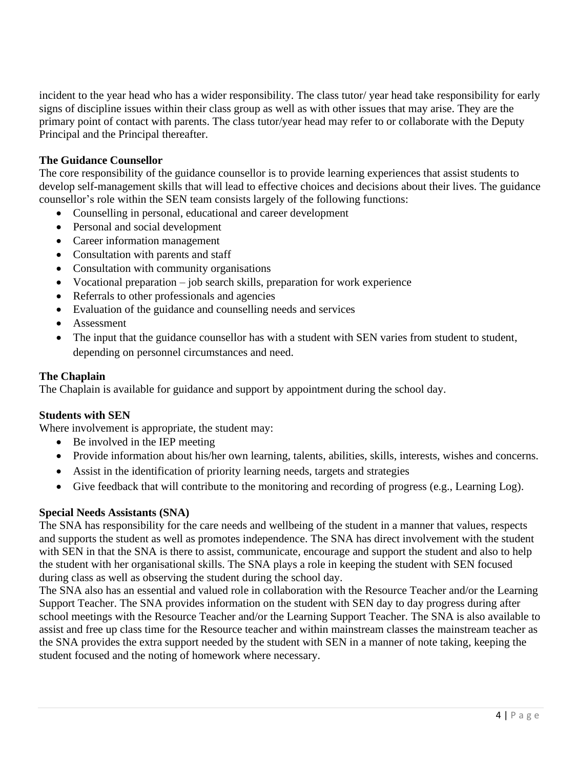incident to the year head who has a wider responsibility. The class tutor/ year head take responsibility for early signs of discipline issues within their class group as well as with other issues that may arise. They are the primary point of contact with parents. The class tutor/year head may refer to or collaborate with the Deputy Principal and the Principal thereafter.

## **The Guidance Counsellor**

The core responsibility of the guidance counsellor is to provide learning experiences that assist students to develop self-management skills that will lead to effective choices and decisions about their lives. The guidance counsellor's role within the SEN team consists largely of the following functions:

- Counselling in personal, educational and career development
- Personal and social development
- Career information management
- Consultation with parents and staff
- Consultation with community organisations
- Vocational preparation job search skills, preparation for work experience
- Referrals to other professionals and agencies
- Evaluation of the guidance and counselling needs and services
- Assessment
- The input that the guidance counsellor has with a student with SEN varies from student to student, depending on personnel circumstances and need.

#### **The Chaplain**

The Chaplain is available for guidance and support by appointment during the school day.

#### **Students with SEN**

Where involvement is appropriate, the student may:

- Be involved in the IEP meeting
- Provide information about his/her own learning, talents, abilities, skills, interests, wishes and concerns.
- Assist in the identification of priority learning needs, targets and strategies
- Give feedback that will contribute to the monitoring and recording of progress (e.g., Learning Log).

#### **Special Needs Assistants (SNA)**

The SNA has responsibility for the care needs and wellbeing of the student in a manner that values, respects and supports the student as well as promotes independence. The SNA has direct involvement with the student with SEN in that the SNA is there to assist, communicate, encourage and support the student and also to help the student with her organisational skills. The SNA plays a role in keeping the student with SEN focused during class as well as observing the student during the school day.

The SNA also has an essential and valued role in collaboration with the Resource Teacher and/or the Learning Support Teacher. The SNA provides information on the student with SEN day to day progress during after school meetings with the Resource Teacher and/or the Learning Support Teacher. The SNA is also available to assist and free up class time for the Resource teacher and within mainstream classes the mainstream teacher as the SNA provides the extra support needed by the student with SEN in a manner of note taking, keeping the student focused and the noting of homework where necessary.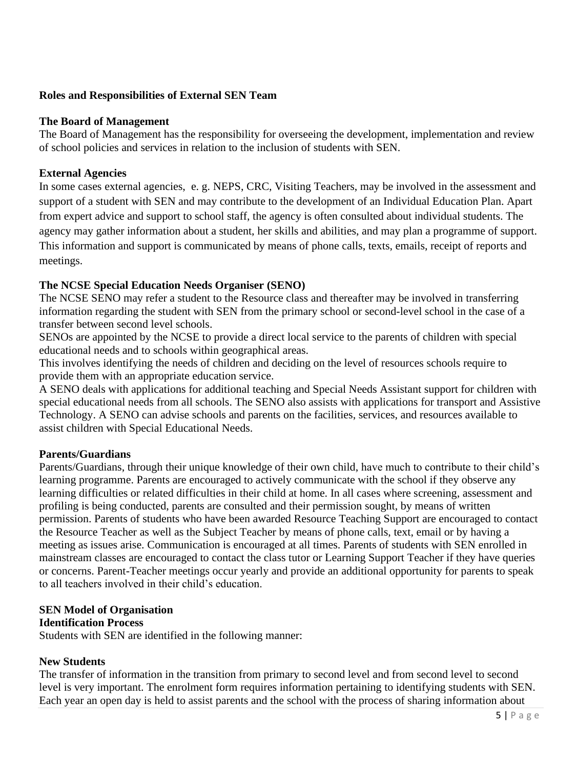## **Roles and Responsibilities of External SEN Team**

#### **The Board of Management**

The Board of Management has the responsibility for overseeing the development, implementation and review of school policies and services in relation to the inclusion of students with SEN.

#### **External Agencies**

In some cases external agencies, e. g. NEPS, CRC, Visiting Teachers, may be involved in the assessment and support of a student with SEN and may contribute to the development of an Individual Education Plan. Apart from expert advice and support to school staff, the agency is often consulted about individual students. The agency may gather information about a student, her skills and abilities, and may plan a programme of support. This information and support is communicated by means of phone calls, texts, emails, receipt of reports and meetings.

## **The NCSE Special Education Needs Organiser (SENO)**

The NCSE SENO may refer a student to the Resource class and thereafter may be involved in transferring information regarding the student with SEN from the primary school or second-level school in the case of a transfer between second level schools.

SENOs are appointed by the NCSE to provide a direct local service to the parents of children with special educational needs and to schools within geographical areas.

This involves identifying the needs of children and deciding on the level of resources schools require to provide them with an appropriate education service.

A SENO deals with applications for additional teaching and Special Needs Assistant support for children with special educational needs from all schools. The SENO also assists with applications for transport and Assistive Technology. A SENO can advise schools and parents on the facilities, services, and resources available to assist children with Special Educational Needs.

#### **Parents/Guardians**

Parents/Guardians, through their unique knowledge of their own child, have much to contribute to their child's learning programme. Parents are encouraged to actively communicate with the school if they observe any learning difficulties or related difficulties in their child at home. In all cases where screening, assessment and profiling is being conducted, parents are consulted and their permission sought, by means of written permission. Parents of students who have been awarded Resource Teaching Support are encouraged to contact the Resource Teacher as well as the Subject Teacher by means of phone calls, text, email or by having a meeting as issues arise. Communication is encouraged at all times. Parents of students with SEN enrolled in mainstream classes are encouraged to contact the class tutor or Learning Support Teacher if they have queries or concerns. Parent-Teacher meetings occur yearly and provide an additional opportunity for parents to speak to all teachers involved in their child's education.

#### **SEN Model of Organisation**

#### **Identification Process**

Students with SEN are identified in the following manner:

#### **New Students**

The transfer of information in the transition from primary to second level and from second level to second level is very important. The enrolment form requires information pertaining to identifying students with SEN. Each year an open day is held to assist parents and the school with the process of sharing information about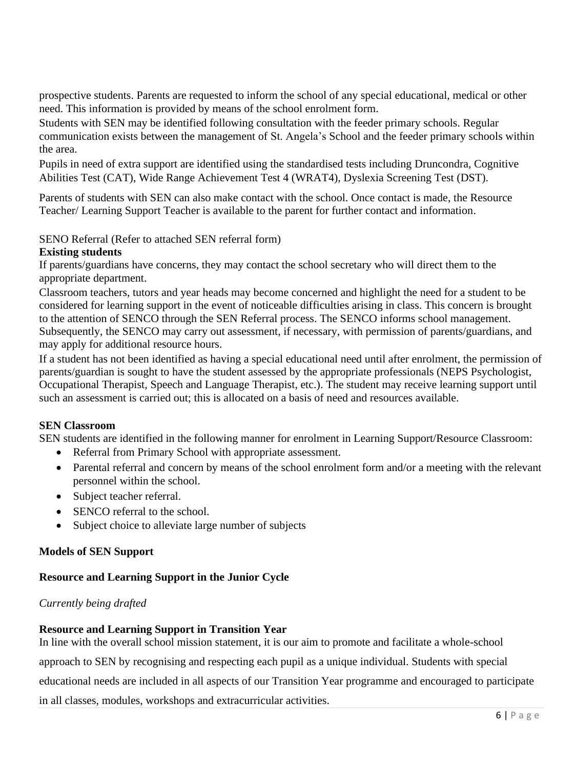prospective students. Parents are requested to inform the school of any special educational, medical or other need. This information is provided by means of the school enrolment form.

Students with SEN may be identified following consultation with the feeder primary schools. Regular communication exists between the management of St. Angela's School and the feeder primary schools within the area.

Pupils in need of extra support are identified using the standardised tests including Druncondra, Cognitive Abilities Test (CAT), Wide Range Achievement Test 4 (WRAT4), Dyslexia Screening Test (DST).

Parents of students with SEN can also make contact with the school. Once contact is made, the Resource Teacher/ Learning Support Teacher is available to the parent for further contact and information.

## SENO Referral (Refer to attached SEN referral form)

#### **Existing students**

If parents/guardians have concerns, they may contact the school secretary who will direct them to the appropriate department.

Classroom teachers, tutors and year heads may become concerned and highlight the need for a student to be considered for learning support in the event of noticeable difficulties arising in class. This concern is brought to the attention of SENCO through the SEN Referral process. The SENCO informs school management. Subsequently, the SENCO may carry out assessment, if necessary, with permission of parents/guardians, and may apply for additional resource hours.

If a student has not been identified as having a special educational need until after enrolment, the permission of parents/guardian is sought to have the student assessed by the appropriate professionals (NEPS Psychologist, Occupational Therapist, Speech and Language Therapist, etc.). The student may receive learning support until such an assessment is carried out; this is allocated on a basis of need and resources available.

#### **SEN Classroom**

SEN students are identified in the following manner for enrolment in Learning Support/Resource Classroom:

- Referral from Primary School with appropriate assessment.
- Parental referral and concern by means of the school enrolment form and/or a meeting with the relevant personnel within the school.
- Subject teacher referral.
- SENCO referral to the school.
- Subject choice to alleviate large number of subjects

#### **Models of SEN Support**

#### **Resource and Learning Support in the Junior Cycle**

#### *Currently being drafted*

#### **Resource and Learning Support in Transition Year**

In line with the overall school mission statement, it is our aim to promote and facilitate a whole-school approach to SEN by recognising and respecting each pupil as a unique individual. Students with special educational needs are included in all aspects of our Transition Year programme and encouraged to participate in all classes, modules, workshops and extracurricular activities.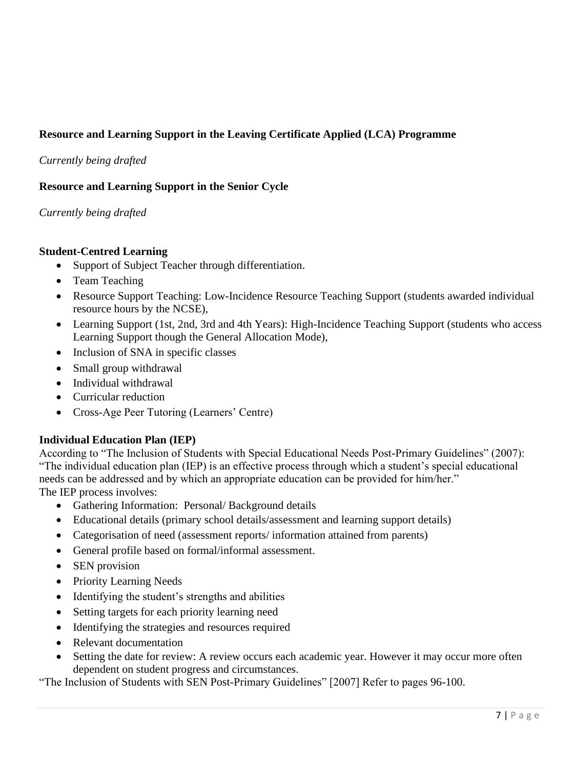# **Resource and Learning Support in the Leaving Certificate Applied (LCA) Programme**

*Currently being drafted* 

## **Resource and Learning Support in the Senior Cycle**

*Currently being drafted* 

## **Student-Centred Learning**

- Support of Subject Teacher through differentiation.
- Team Teaching
- Resource Support Teaching: Low-Incidence Resource Teaching Support (students awarded individual resource hours by the NCSE),
- Learning Support (1st, 2nd, 3rd and 4th Years): High-Incidence Teaching Support (students who access Learning Support though the General Allocation Mode),
- Inclusion of SNA in specific classes
- Small group withdrawal
- Individual withdrawal
- Curricular reduction
- Cross-Age Peer Tutoring (Learners' Centre)

## **Individual Education Plan (IEP)**

According to "The Inclusion of Students with Special Educational Needs Post-Primary Guidelines" (2007): "The individual education plan (IEP) is an effective process through which a student's special educational needs can be addressed and by which an appropriate education can be provided for him/her." The IEP process involves:

- Gathering Information: Personal/ Background details
- Educational details (primary school details/assessment and learning support details)
- Categorisation of need (assessment reports/ information attained from parents)
- General profile based on formal/informal assessment.
- SEN provision
- Priority Learning Needs
- Identifying the student's strengths and abilities
- Setting targets for each priority learning need
- Identifying the strategies and resources required
- Relevant documentation
- Setting the date for review: A review occurs each academic year. However it may occur more often dependent on student progress and circumstances.

"The Inclusion of Students with SEN Post-Primary Guidelines" [2007] Refer to pages 96-100.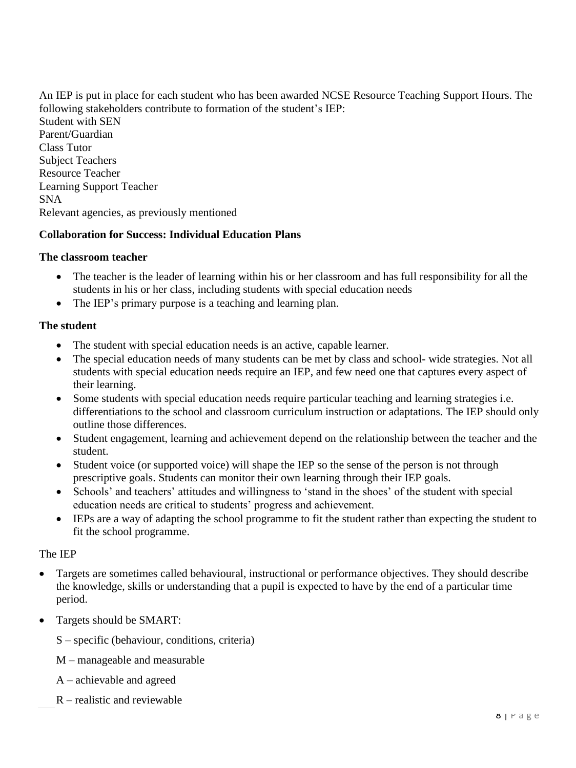An IEP is put in place for each student who has been awarded NCSE Resource Teaching Support Hours. The following stakeholders contribute to formation of the student's IEP: Student with SEN Parent/Guardian Class Tutor Subject Teachers Resource Teacher Learning Support Teacher SNA Relevant agencies, as previously mentioned

#### **Collaboration for Success: Individual Education Plans**

#### **The classroom teacher**

- The teacher is the leader of learning within his or her classroom and has full responsibility for all the students in his or her class, including students with special education needs
- The IEP's primary purpose is a teaching and learning plan.

#### **The student**

- The student with special education needs is an active, capable learner.
- The special education needs of many students can be met by class and school- wide strategies. Not all students with special education needs require an IEP, and few need one that captures every aspect of their learning.
- Some students with special education needs require particular teaching and learning strategies i.e. differentiations to the school and classroom curriculum instruction or adaptations. The IEP should only outline those differences.
- Student engagement, learning and achievement depend on the relationship between the teacher and the student.
- Student voice (or supported voice) will shape the IEP so the sense of the person is not through prescriptive goals. Students can monitor their own learning through their IEP goals.
- Schools' and teachers' attitudes and willingness to 'stand in the shoes' of the student with special education needs are critical to students' progress and achievement.
- IEPs are a way of adapting the school programme to fit the student rather than expecting the student to fit the school programme.

#### The IEP

- Targets are sometimes called behavioural, instructional or performance objectives. They should describe the knowledge, skills or understanding that a pupil is expected to have by the end of a particular time period.
- Targets should be SMART:
	- S specific (behaviour, conditions, criteria)
	- M manageable and measurable
	- A achievable and agreed
	- R realistic and reviewable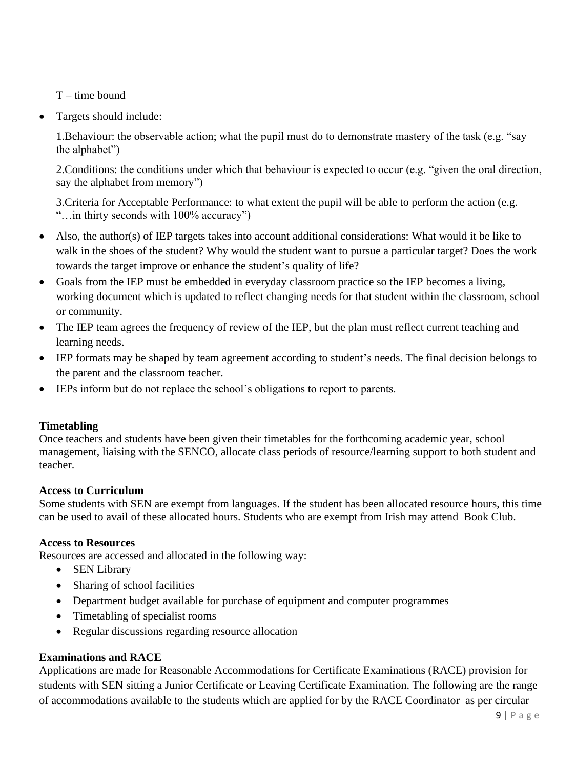$T -$ time bound

• Targets should include:

1.Behaviour: the observable action; what the pupil must do to demonstrate mastery of the task (e.g. "say the alphabet")

2.Conditions: the conditions under which that behaviour is expected to occur (e.g. "given the oral direction, say the alphabet from memory")

3.Criteria for Acceptable Performance: to what extent the pupil will be able to perform the action (e.g. "…in thirty seconds with 100% accuracy")

- Also, the author(s) of IEP targets takes into account additional considerations: What would it be like to walk in the shoes of the student? Why would the student want to pursue a particular target? Does the work towards the target improve or enhance the student's quality of life?
- Goals from the IEP must be embedded in everyday classroom practice so the IEP becomes a living, working document which is updated to reflect changing needs for that student within the classroom, school or community.
- The IEP team agrees the frequency of review of the IEP, but the plan must reflect current teaching and learning needs.
- IEP formats may be shaped by team agreement according to student's needs. The final decision belongs to the parent and the classroom teacher.
- IEPs inform but do not replace the school's obligations to report to parents.

#### **Timetabling**

Once teachers and students have been given their timetables for the forthcoming academic year, school management, liaising with the SENCO, allocate class periods of resource/learning support to both student and teacher.

#### **Access to Curriculum**

Some students with SEN are exempt from languages. If the student has been allocated resource hours, this time can be used to avail of these allocated hours. Students who are exempt from Irish may attend Book Club.

#### **Access to Resources**

Resources are accessed and allocated in the following way:

- SEN Library
- Sharing of school facilities
- Department budget available for purchase of equipment and computer programmes
- Timetabling of specialist rooms
- Regular discussions regarding resource allocation

## **Examinations and RACE**

Applications are made for Reasonable Accommodations for Certificate Examinations (RACE) provision for students with SEN sitting a Junior Certificate or Leaving Certificate Examination. The following are the range of accommodations available to the students which are applied for by the RACE Coordinator as per circular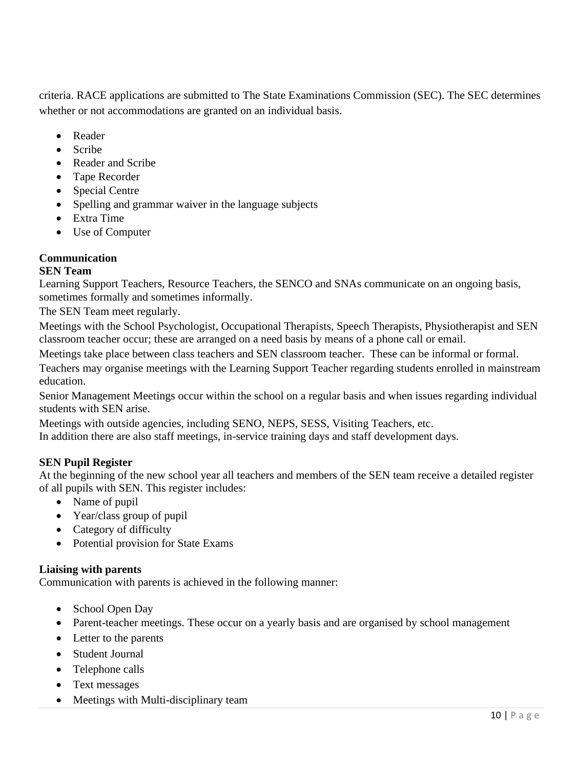criteria. RACE applications are submitted to The State Examinations Commission (SEC). The SEC determines whether or not accommodations are granted on an individual basis.

- Reader
- Scribe
- Reader and Scribe
- Tape Recorder
- Special Centre
- Spelling and grammar waiver in the language subjects
- Extra Time
- Use of Computer

## **Communication**

## **SEN Team**

Learning Support Teachers, Resource Teachers, the SENCO and SNAs communicate on an ongoing basis, sometimes formally and sometimes informally.

The SEN Team meet regularly.

Meetings with the School Psychologist, Occupational Therapists, Speech Therapists, Physiotherapist and SEN classroom teacher occur; these are arranged on a need basis by means of a phone call or email.

Meetings take place between class teachers and SEN classroom teacher. These can be informal or formal.

Teachers may organise meetings with the Learning Support Teacher regarding students enrolled in mainstream education.

Senior Management Meetings occur within the school on a regular basis and when issues regarding individual students with SEN arise.

Meetings with outside agencies, including SENO, NEPS, SESS, Visiting Teachers, etc.

In addition there are also staff meetings, in-service training days and staff development days.

## **SEN Pupil Register**

At the beginning of the new school year all teachers and members of the SEN team receive a detailed register of all pupils with SEN. This register includes:

- Name of pupil
- Year/class group of pupil
- Category of difficulty
- Potential provision for State Exams

## **Liaising with parents**

Communication with parents is achieved in the following manner:

- School Open Day
- Parent-teacher meetings. These occur on a yearly basis and are organised by school management
- Letter to the parents
- Student Journal
- Telephone calls
- Text messages
- Meetings with Multi-disciplinary team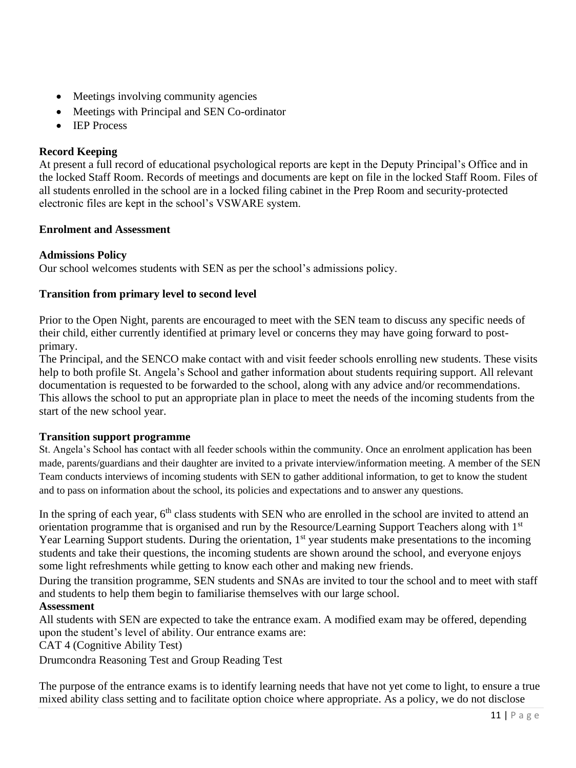- Meetings involving community agencies
- Meetings with Principal and SEN Co-ordinator
- IEP Process

# **Record Keeping**

At present a full record of educational psychological reports are kept in the Deputy Principal's Office and in the locked Staff Room. Records of meetings and documents are kept on file in the locked Staff Room. Files of all students enrolled in the school are in a locked filing cabinet in the Prep Room and security-protected electronic files are kept in the school's VSWARE system.

## **Enrolment and Assessment**

## **Admissions Policy**

Our school welcomes students with SEN as per the school's admissions policy.

## **Transition from primary level to second level**

Prior to the Open Night, parents are encouraged to meet with the SEN team to discuss any specific needs of their child, either currently identified at primary level or concerns they may have going forward to postprimary.

The Principal, and the SENCO make contact with and visit feeder schools enrolling new students. These visits help to both profile St. Angela's School and gather information about students requiring support. All relevant documentation is requested to be forwarded to the school, along with any advice and/or recommendations. This allows the school to put an appropriate plan in place to meet the needs of the incoming students from the start of the new school year.

## **Transition support programme**

St. Angela's School has contact with all feeder schools within the community. Once an enrolment application has been made, parents/guardians and their daughter are invited to a private interview/information meeting. A member of the SEN Team conducts interviews of incoming students with SEN to gather additional information, to get to know the student and to pass on information about the school, its policies and expectations and to answer any questions.

In the spring of each year, 6<sup>th</sup> class students with SEN who are enrolled in the school are invited to attend an orientation programme that is organised and run by the Resource/Learning Support Teachers along with 1st Year Learning Support students. During the orientation, 1<sup>st</sup> year students make presentations to the incoming students and take their questions, the incoming students are shown around the school, and everyone enjoys some light refreshments while getting to know each other and making new friends.

During the transition programme, SEN students and SNAs are invited to tour the school and to meet with staff and students to help them begin to familiarise themselves with our large school.

## **Assessment**

All students with SEN are expected to take the entrance exam. A modified exam may be offered, depending upon the student's level of ability. Our entrance exams are:

CAT 4 (Cognitive Ability Test)

Drumcondra Reasoning Test and Group Reading Test

The purpose of the entrance exams is to identify learning needs that have not yet come to light, to ensure a true mixed ability class setting and to facilitate option choice where appropriate. As a policy, we do not disclose